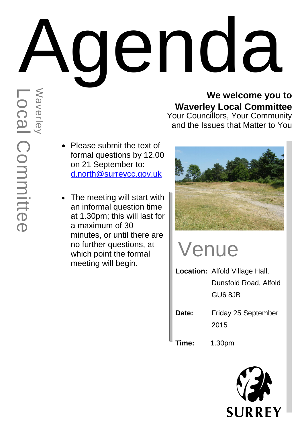# Agenda

#### **We welcome you to Waverley Local Committee**

Your Councillors, Your Community and the Issues that Matter to You

- Please submit the text of formal questions by 12.00 on 21 September to: [d.north@surreycc.gov.uk](mailto:d.north@surreycc.gov.uk)
- The meeting will start with an informal question time at 1.30pm; this will last for a maximum of 30 minutes, or until there are no further questions, at which point the formal meeting will begin.



## Venue

- **Location:** Alfold Village Hall, Dunsfold Road, Alfold GU6 8JB
- **Date:** Friday 25 September 2015

**Time:** 1.30pm

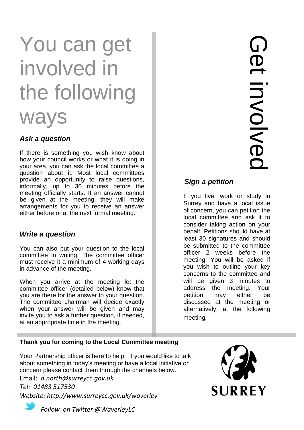## You can get involved in the following

### ways

#### *Ask a question*

If there is something you wish know about how your council works or what it is doing in your area, you can ask the local committee a question about it. Most local committees provide an opportunity to raise questions, informally, up to 30 minutes before the meeting officially starts. If an answer cannot be given at the meeting, they will make arrangements for you to receive an answer either before or at the next formal meeting.

#### *Write a question*

You can also put your question to the local committee in writing. The committee officer must receive it a minimum of 4 working days in advance of the meeting.

When you arrive at the meeting let the committee officer (detailed below) know that you are there for the answer to your question. The committee chairman will decide exactly when your answer will be given and may invite you to ask a further question, if needed, at an appropriate time in the meeting.

#### *Sign a petition*

If you live, work or study in Surrey and have a local issue of concern, you can petition the local committee and ask it to consider taking action on your behalf. Petitions should have at least 30 signatures and should be submitted to the committee officer 2 weeks before the meeting. You will be asked if you wish to outline your key concerns to the committee and will be given 3 minutes to address the meeting. Your petition may either be discussed at the meeting or alternatively, at the following meeting.

#### **Thank you for coming to the Local Committee meeting**

Your Partnership officer is here to help. If you would like to talk about something in today's meeting or have a local initiative or concern please contact them through the channels below.

Email: *d.north@surreycc.gov.uk Tel: 01483 517530 Website: http://www.surreycc.gov.uk/waverley*



*Follow on Twitter @WaverleyLC*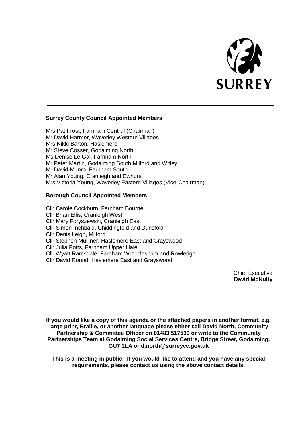

#### **Surrey County Council Appointed Members**

Mrs Pat Frost, Farnham Central (Chairman) Mr David Harmer, Waverley Western Villages Mrs Nikki Barton, Haslemere Mr Steve Cosser, Godalming North Ms Denise Le Gal, Farnham North Mr Peter Martin, Godalming South Milford and Witley Mr David Munro, Farnham South Mr Alan Young, Cranleigh and Ewhurst Mrs Victoria Young, Waverley Eastern Villages (Vice-Chairman)

#### **Borough Council Appointed Members**

Cllr Carole Cockburn, Farnham Bourne Cllr Brian Ellis, Cranleigh West Cllr Mary Foryszewski, Cranleigh East Cllr Simon Inchbald, Chiddingfold and Dunsfold Cllr Denis Leigh, Milford Cllr Stephen Mulliner, Haslemere East and Grayswood Cllr Julia Potts, Farnham Upper Hale Cllr Wyatt Ramsdale, Farnham Wrecclesham and Rowledge Cllr David Round, Haslemere East and Grayswood

> Chief Executive **David McNulty**

**If you would like a copy of this agenda or the attached papers in another format, e.g. large print, Braille, or another language please either call David North, Community Partnership & Committee Officer on 01483 517530 or write to the Community Partnerships Team at Godalming Social Services Centre, Bridge Street, Godalming, GU7 1LA or d.north@surreycc.gov.uk**

**This is a meeting in public. If you would like to attend and you have any special requirements, please contact us using the above contact details.**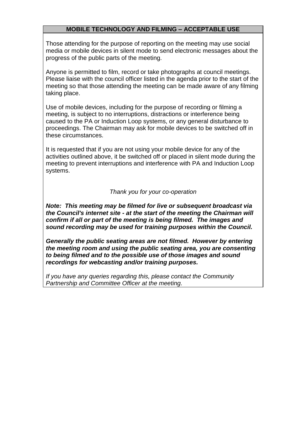#### **MOBILE TECHNOLOGY AND FILMING – ACCEPTABLE USE**

Those attending for the purpose of reporting on the meeting may use social media or mobile devices in silent mode to send electronic messages about the progress of the public parts of the meeting.

Anyone is permitted to film, record or take photographs at council meetings. Please liaise with the council officer listed in the agenda prior to the start of the meeting so that those attending the meeting can be made aware of any filming taking place.

Use of mobile devices, including for the purpose of recording or filming a meeting, is subject to no interruptions, distractions or interference being caused to the PA or Induction Loop systems, or any general disturbance to proceedings. The Chairman may ask for mobile devices to be switched off in these circumstances.

It is requested that if you are not using your mobile device for any of the activities outlined above, it be switched off or placed in silent mode during the meeting to prevent interruptions and interference with PA and Induction Loop systems.

#### *Thank you for your co-operation*

*Note: This meeting may be filmed for live or subsequent broadcast via the Council's internet site - at the start of the meeting the Chairman will confirm if all or part of the meeting is being filmed. The images and sound recording may be used for training purposes within the Council.*

*Generally the public seating areas are not filmed. However by entering the meeting room and using the public seating area, you are consenting to being filmed and to the possible use of those images and sound recordings for webcasting and/or training purposes.* 

*If you have any queries regarding this, please contact the Community Partnership and Committee Officer at the meeting.*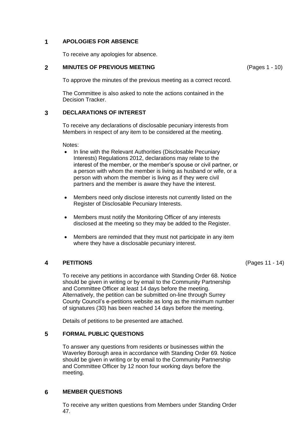#### **1 APOLOGIES FOR ABSENCE**

To receive any apologies for absence.

#### **2 MINUTES OF PREVIOUS MEETING**

To approve the minutes of the previous meeting as a correct record.

The Committee is also asked to note the actions contained in the Decision Tracker.

#### **3 DECLARATIONS OF INTEREST**

To receive any declarations of disclosable pecuniary interests from Members in respect of any item to be considered at the meeting.

Notes:

- In line with the Relevant Authorities (Disclosable Pecuniary Interests) Regulations 2012, declarations may relate to the interest of the member, or the member's spouse or civil partner, or a person with whom the member is living as husband or wife, or a person with whom the member is living as if they were civil partners and the member is aware they have the interest.
- Members need only disclose interests not currently listed on the Register of Disclosable Pecuniary Interests.
- Members must notify the Monitoring Officer of any interests disclosed at the meeting so they may be added to the Register.
- Members are reminded that they must not participate in any item where they have a disclosable pecuniary interest.

#### **4 PETITIONS**

To receive any petitions in accordance with Standing Order 68. Notice should be given in writing or by email to the Community Partnership and Committee Officer at least 14 days before the meeting. Alternatively, the petition can be submitted on-line through Surrey County Council's e-petitions website as long as the minimum number of signatures (30) has been reached 14 days before the meeting.

Details of petitions to be presented are attached.

#### **5 FORMAL PUBLIC QUESTIONS**

To answer any questions from residents or businesses within the Waverley Borough area in accordance with Standing Order 69. Notice should be given in writing or by email to the Community Partnership and Committee Officer by 12 noon four working days before the meeting.

#### **6 MEMBER QUESTIONS**

To receive any written questions from Members under Standing Order 47.

(Pages 11 - 14)

(Pages 1 - 10)